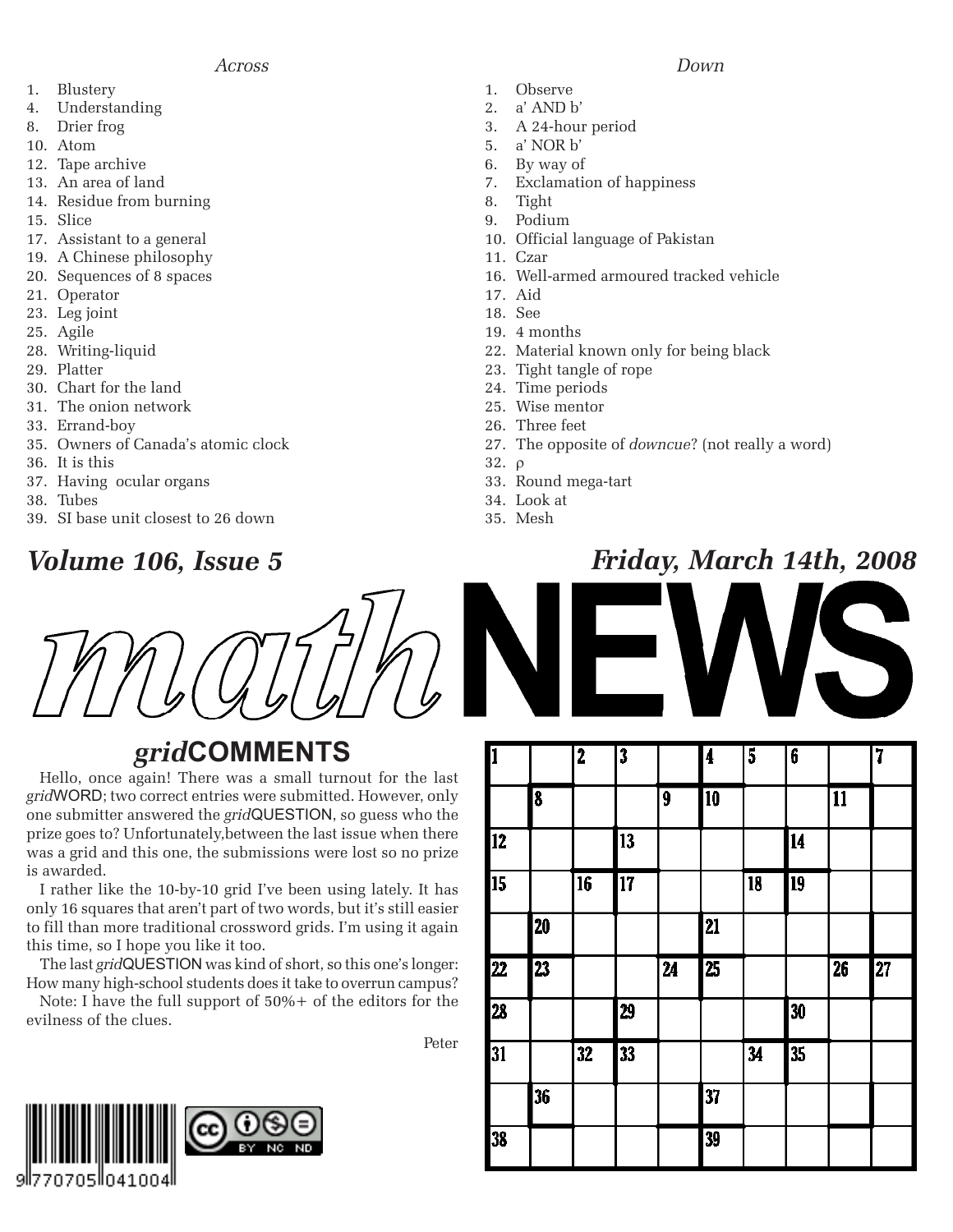- 1. Blustery
- 4. Understanding
- 8. Drier frog
- 10. Atom
- 12. Tape archive
- 13. An area of land
- 14. Residue from burning
- 15. Slice
- 17. Assistant to a general
- 19. A Chinese philosophy
- 20. Sequences of 8 spaces
- 21. Operator
- 23. Leg joint
- 25. Agile
- 28. Writing-liquid
- 29. Platter
- 30. Chart for the land
- 31. The onion network
- 33. Errand-boy
- 35. Owners of Canada's atomic clock
- 36. It is this
- 37. Having ocular organs
- 38. Tubes
- 39. SI base unit closest to 26 down

### *grid***COMMENTS**

Hello, once again! There was a small turnout for the last *grid*WORD; two correct entries were submitted. However, only one submitter answered the *grid*QUESTION, so guess who the prize goes to? Unfortunately,between the last issue when there was a grid and this one, the submissions were lost so no prize is awarded.

I rather like the 10-by-10 grid I've been using lately. It has only 16 squares that aren't part of two words, but it's still easier to fill than more traditional crossword grids. I'm using it again this time, so I hope you like it too.

The last *grid*QUESTION was kind of short, so this one's longer: How many high-school students does it take to overrun campus?

Note: I have the full support of 50%+ of the editors for the evilness of the clues.

Peter



- 1. Observe
- 2. a' AND b'
- 3. A 24-hour period
- 5. a' NOR b'
- 6. By way of
- 7. Exclamation of happiness
- 8. Tight
- 9. Podium
- 10. Official language of Pakistan
- 11. Czar
- 16. Well-armed armoured tracked vehicle
- 17. Aid
- 18. See
- 19. 4 months
- 22. Material known only for being black
- 23. Tight tangle of rope
- 24. Time periods
- 25. Wise mentor
- 26. Three feet
- 27. The opposite of *downcue*? (not really a word)
- 32. ρ
- 33. Round mega-tart
- 34. Look at
- 35. Mesh

#### *Volume 106, Issue 5 Friday, March 14th, 2008*



| μ                 |                 | 4               | J               |                          | 14              | J               | v               |                 | 4               |
|-------------------|-----------------|-----------------|-----------------|--------------------------|-----------------|-----------------|-----------------|-----------------|-----------------|
|                   | 8               |                 |                 | 9                        | $\overline{10}$ |                 |                 | $\overline{11}$ |                 |
| $12 \overline{ }$ |                 |                 | 13              |                          |                 |                 | 14              |                 |                 |
| 15                |                 | $\overline{16}$ | $\overline{17}$ |                          |                 | $\overline{18}$ | $\overline{19}$ |                 |                 |
|                   | 20              |                 |                 |                          | 21              |                 |                 |                 |                 |
| $\overline{22}$   | $\overline{23}$ |                 |                 | $\overline{\mathbf{24}}$ | $\overline{25}$ |                 |                 | $\overline{26}$ | $\overline{27}$ |
| 28                |                 |                 | 29              |                          |                 |                 | 30              |                 |                 |
| 31                |                 | $\overline{32}$ | 33              |                          |                 | $\overline{34}$ | 35              |                 |                 |
|                   | 36              |                 |                 |                          | 37              |                 |                 |                 |                 |
| 38                |                 |                 |                 |                          | 39              |                 |                 |                 |                 |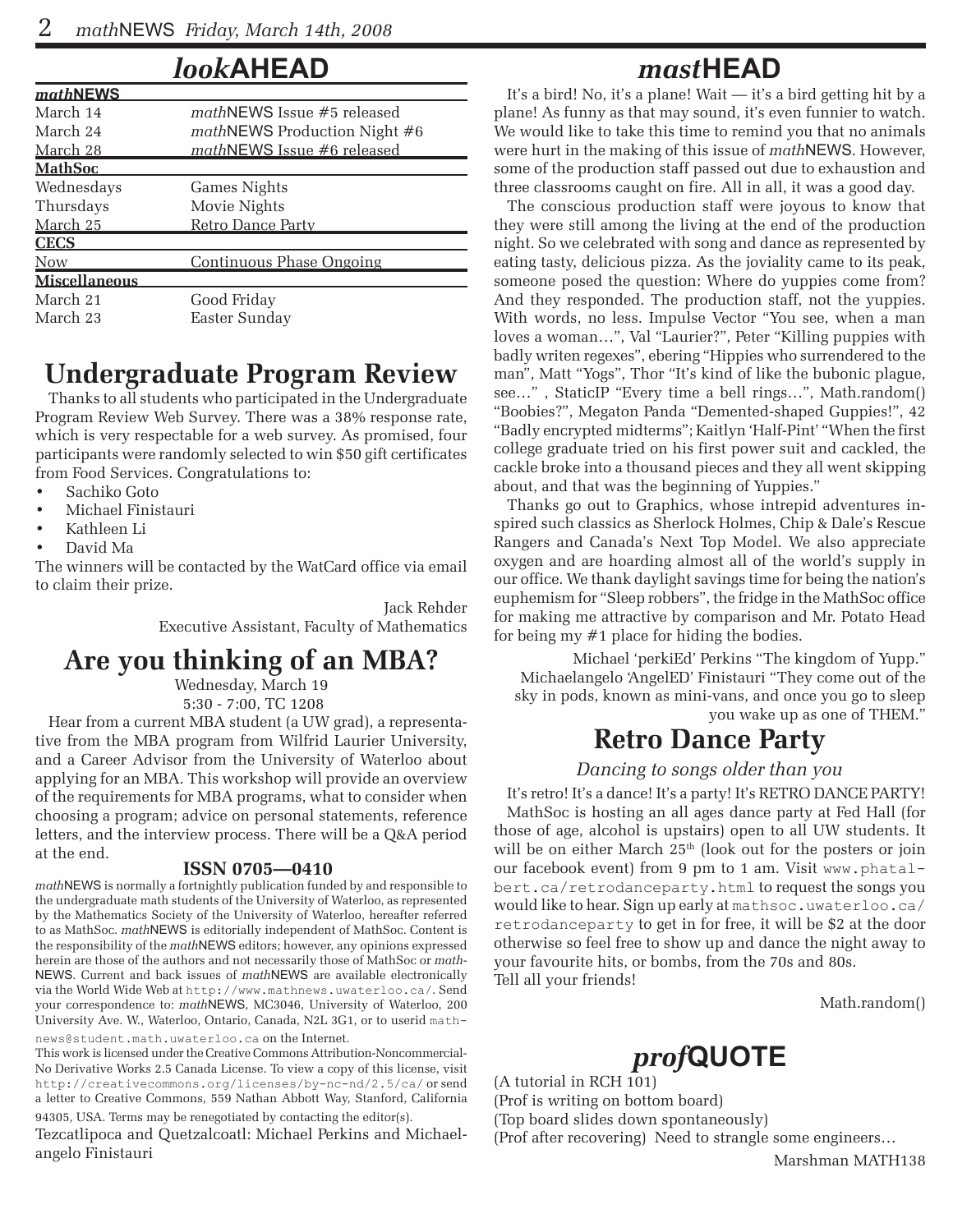#### *look***AHEAD**

| <b>mathNEWS</b>      |                                     |  |  |  |  |  |
|----------------------|-------------------------------------|--|--|--|--|--|
| March 14             | $mathP$ mathNEWS Issue #5 released  |  |  |  |  |  |
| March 24             | <i>mathNEWS Production Night #6</i> |  |  |  |  |  |
| March 28             | mathNEWS Issue #6 released          |  |  |  |  |  |
| <u>MathSoc</u>       |                                     |  |  |  |  |  |
| Wednesdays           | Games Nights                        |  |  |  |  |  |
| Thursdays            | Movie Nights                        |  |  |  |  |  |
| March 25             | Retro Dance Party                   |  |  |  |  |  |
| <b>CECS</b>          |                                     |  |  |  |  |  |
| <b>Now</b>           | Continuous Phase Ongoing            |  |  |  |  |  |
| <b>Miscellaneous</b> |                                     |  |  |  |  |  |
| March 21             | Good Friday                         |  |  |  |  |  |
| March 23             | Easter Sunday                       |  |  |  |  |  |

### **Undergraduate Program Review**

Thanks to all students who participated in the Undergraduate Program Review Web Survey. There was a 38% response rate, which is very respectable for a web survey. As promised, four participants were randomly selected to win \$50 gift certificates from Food Services. Congratulations to:

- Sachiko Goto
- Michael Finistauri
- Kathleen Li
- David Ma

The winners will be contacted by the WatCard office via email to claim their prize.

Jack Rehder

Executive Assistant, Faculty of Mathematics

#### **Are you thinking of an MBA?**

Wednesday, March 19 5:30 - 7:00, TC 1208

Hear from a current MBA student (a UW grad), a representative from the MBA program from Wilfrid Laurier University, and a Career Advisor from the University of Waterloo about applying for an MBA. This workshop will provide an overview of the requirements for MBA programs, what to consider when choosing a program; advice on personal statements, reference letters, and the interview process. There will be a Q&A period at the end.

#### **ISSN 0705—0410**

*math*NEWS is normally a fortnightly publication funded by and responsible to the undergraduate math students of the University of Waterloo, as represented by the Mathematics Society of the University of Waterloo, hereafter referred to as MathSoc. *math*NEWS is editorially independent of MathSoc. Content is the responsibility of the *math*NEWS editors; however, any opinions expressed herein are those of the authors and not necessarily those of MathSoc or *math-*NEWS. Current and back issues of *math*NEWS are available electronically via the World Wide Web at http://www.mathnews.uwaterloo.ca/. Send your correspondence to: *math*NEWS, MC3046, University of Waterloo, 200 University Ave. W., Waterloo, Ontario, Canada, N2L 3G1, or to userid mathnews@student.math.uwaterloo.ca on the Internet.

This work is licensed under the Creative Commons Attribution-Noncommercial-No Derivative Works 2.5 Canada License. To view a copy of this license, visit http://creativecommons.org/licenses/by-nc-nd/2.5/ca/ or send a letter to Creative Commons, 559 Nathan Abbott Way, Stanford, California 94305, USA. Terms may be renegotiated by contacting the editor(s).

Tezcatlipoca and Quetzalcoatl: Michael Perkins and Michaelangelo Finistauri

### *mast***HEAD**

It's a bird! No, it's a plane! Wait — it's a bird getting hit by a plane! As funny as that may sound, it's even funnier to watch. We would like to take this time to remind you that no animals were hurt in the making of this issue of *math*NEWS. However, some of the production staff passed out due to exhaustion and three classrooms caught on fire. All in all, it was a good day.

The conscious production staff were joyous to know that they were still among the living at the end of the production night. So we celebrated with song and dance as represented by eating tasty, delicious pizza. As the joviality came to its peak, someone posed the question: Where do yuppies come from? And they responded. The production staff, not the yuppies. With words, no less. Impulse Vector "You see, when a man loves a woman…", Val "Laurier?", Peter "Killing puppies with badly writen regexes", ebering "Hippies who surrendered to the man", Matt "Yogs", Thor "It's kind of like the bubonic plague, see…" , StaticIP "Every time a bell rings…", Math.random() "Boobies?", Megaton Panda "Demented-shaped Guppies!", 42 "Badly encrypted midterms"; Kaitlyn 'Half-Pint' "When the first college graduate tried on his first power suit and cackled, the cackle broke into a thousand pieces and they all went skipping about, and that was the beginning of Yuppies."

Thanks go out to Graphics, whose intrepid adventures inspired such classics as Sherlock Holmes, Chip & Dale's Rescue Rangers and Canada's Next Top Model. We also appreciate oxygen and are hoarding almost all of the world's supply in our office. We thank daylight savings time for being the nation's euphemism for "Sleep robbers", the fridge in the MathSoc office for making me attractive by comparison and Mr. Potato Head for being my #1 place for hiding the bodies.

Michael 'perkiEd' Perkins "The kingdom of Yupp." Michaelangelo 'AngelED' Finistauri "They come out of the sky in pods, known as mini-vans, and once you go to sleep you wake up as one of THEM."

### **Retro Dance Party**

#### *Dancing to songs older than you*

It's retro! It's a dance! It's a party! It's RETRO DANCE PARTY! MathSoc is hosting an all ages dance party at Fed Hall (for those of age, alcohol is upstairs) open to all UW students. It will be on either March  $25<sup>th</sup>$  (look out for the posters or join our facebook event) from 9 pm to 1 am. Visit www.phatalbert.ca/retrodanceparty.html to request the songs you would like to hear. Sign up early at mathsoc.uwaterloo.ca/ retrodanceparty to get in for free, it will be \$2 at the door otherwise so feel free to show up and dance the night away to your favourite hits, or bombs, from the 70s and 80s. Tell all your friends!

Math.random()

### *prof***QUOTE**

(A tutorial in RCH 101) (Prof is writing on bottom board) (Top board slides down spontaneously) (Prof after recovering) Need to strangle some engineers…

Marshman MATH138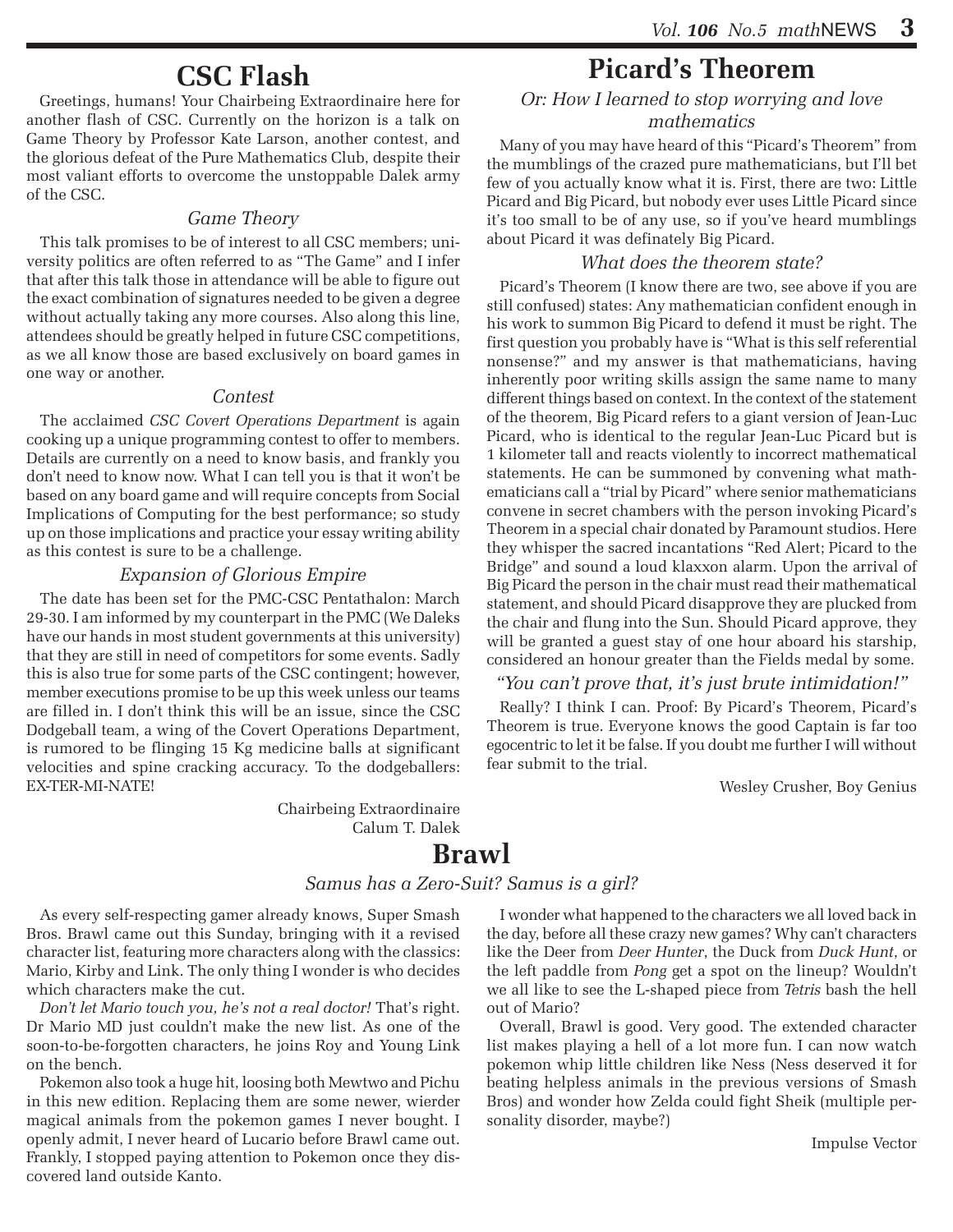#### **CSC Flash**

Greetings, humans! Your Chairbeing Extraordinaire here for another flash of CSC. Currently on the horizon is a talk on Game Theory by Professor Kate Larson, another contest, and the glorious defeat of the Pure Mathematics Club, despite their most valiant efforts to overcome the unstoppable Dalek army of the CSC.

#### *Game Theory*

This talk promises to be of interest to all CSC members; university politics are often referred to as "The Game" and I infer that after this talk those in attendance will be able to figure out the exact combination of signatures needed to be given a degree without actually taking any more courses. Also along this line, attendees should be greatly helped in future CSC competitions, as we all know those are based exclusively on board games in one way or another.

#### *Contest*

The acclaimed *CSC Covert Operations Department* is again cooking up a unique programming contest to offer to members. Details are currently on a need to know basis, and frankly you don't need to know now. What I can tell you is that it won't be based on any board game and will require concepts from Social Implications of Computing for the best performance; so study up on those implications and practice your essay writing ability as this contest is sure to be a challenge.

#### *Expansion of Glorious Empire*

The date has been set for the PMC-CSC Pentathalon: March 29-30. I am informed by my counterpart in the PMC (We Daleks have our hands in most student governments at this university) that they are still in need of competitors for some events. Sadly this is also true for some parts of the CSC contingent; however, member executions promise to be up this week unless our teams are filled in. I don't think this will be an issue, since the CSC Dodgeball team, a wing of the Covert Operations Department, is rumored to be flinging 15 Kg medicine balls at significant velocities and spine cracking accuracy. To the dodgeballers: EX-TER-MI-NATE!

> Chairbeing Extraordinaire Calum T. Dalek

### **Picard's Theorem**

#### *Or: How I learned to stop worrying and love mathematics*

Many of you may have heard of this "Picard's Theorem" from the mumblings of the crazed pure mathematicians, but I'll bet few of you actually know what it is. First, there are two: Little Picard and Big Picard, but nobody ever uses Little Picard since it's too small to be of any use, so if you've heard mumblings about Picard it was definately Big Picard.

#### *What does the theorem state?*

Picard's Theorem (I know there are two, see above if you are still confused) states: Any mathematician confident enough in his work to summon Big Picard to defend it must be right. The first question you probably have is "What is this self referential nonsense?" and my answer is that mathematicians, having inherently poor writing skills assign the same name to many different things based on context. In the context of the statement of the theorem, Big Picard refers to a giant version of Jean-Luc Picard, who is identical to the regular Jean-Luc Picard but is 1 kilometer tall and reacts violently to incorrect mathematical statements. He can be summoned by convening what mathematicians call a "trial by Picard" where senior mathematicians convene in secret chambers with the person invoking Picard's Theorem in a special chair donated by Paramount studios. Here they whisper the sacred incantations "Red Alert; Picard to the Bridge" and sound a loud klaxxon alarm. Upon the arrival of Big Picard the person in the chair must read their mathematical statement, and should Picard disapprove they are plucked from the chair and flung into the Sun. Should Picard approve, they will be granted a guest stay of one hour aboard his starship, considered an honour greater than the Fields medal by some.

#### *"You can't prove that, it's just brute intimidation!"*

Really? I think I can. Proof: By Picard's Theorem, Picard's Theorem is true. Everyone knows the good Captain is far too egocentric to let it be false. If you doubt me further I will without fear submit to the trial.

Wesley Crusher, Boy Genius

#### **Brawl**

#### *Samus has a Zero-Suit? Samus is a girl?*

As every self-respecting gamer already knows, Super Smash Bros. Brawl came out this Sunday, bringing with it a revised character list, featuring more characters along with the classics: Mario, Kirby and Link. The only thing I wonder is who decides which characters make the cut.

*Don't let Mario touch you, he's not a real doctor!* That's right. Dr Mario MD just couldn't make the new list. As one of the soon-to-be-forgotten characters, he joins Roy and Young Link on the bench.

Pokemon also took a huge hit, loosing both Mewtwo and Pichu in this new edition. Replacing them are some newer, wierder magical animals from the pokemon games I never bought. I openly admit, I never heard of Lucario before Brawl came out. Frankly, I stopped paying attention to Pokemon once they discovered land outside Kanto.

I wonder what happened to the characters we all loved back in the day, before all these crazy new games? Why can't characters like the Deer from *Deer Hunter*, the Duck from *Duck Hunt*, or the left paddle from *Pong* get a spot on the lineup? Wouldn't we all like to see the L-shaped piece from *Tetris* bash the hell out of Mario?

Overall, Brawl is good. Very good. The extended character list makes playing a hell of a lot more fun. I can now watch pokemon whip little children like Ness (Ness deserved it for beating helpless animals in the previous versions of Smash Bros) and wonder how Zelda could fight Sheik (multiple personality disorder, maybe?)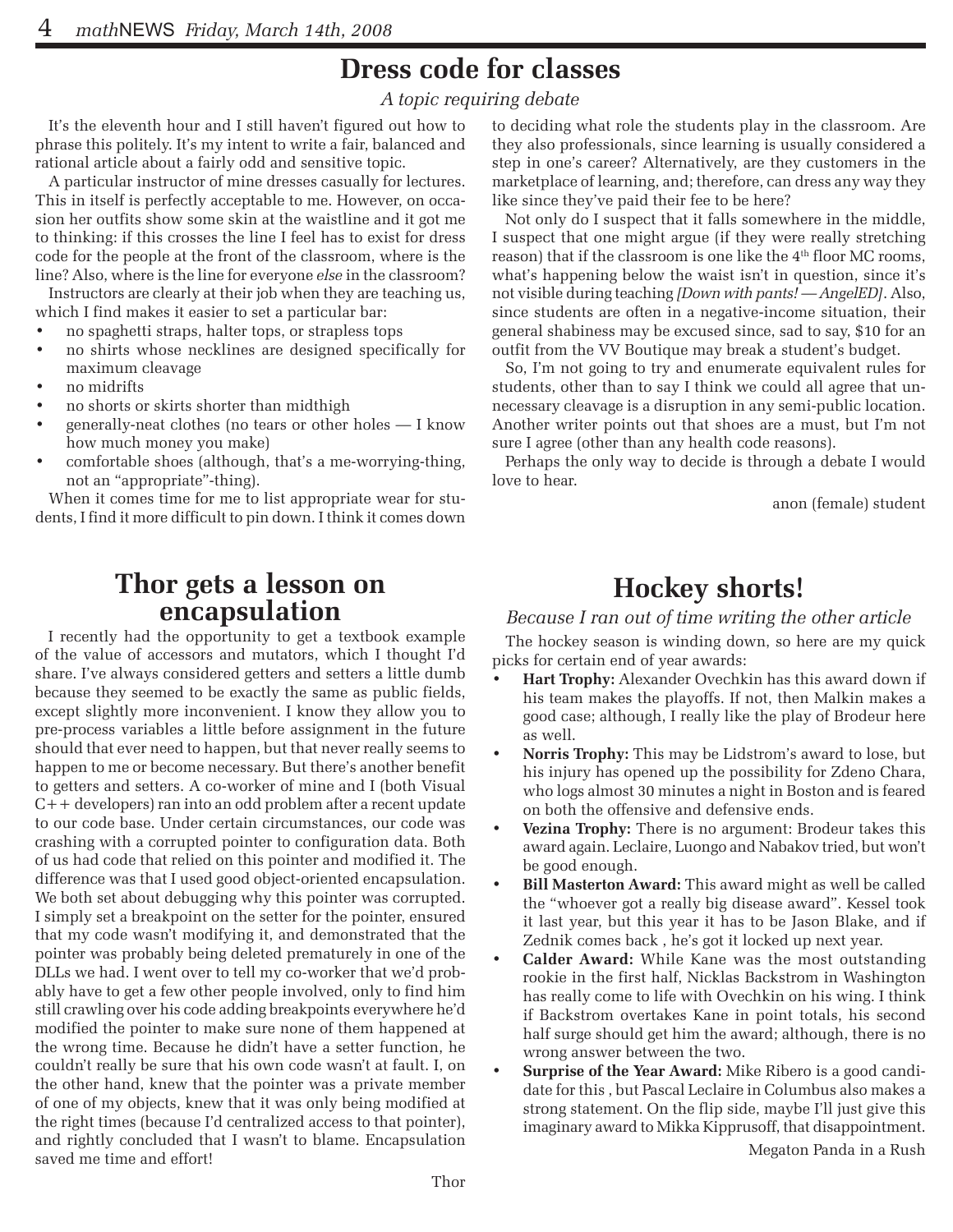## **Dress code for classes**

*A topic requiring debate*

It's the eleventh hour and I still haven't figured out how to phrase this politely. It's my intent to write a fair, balanced and rational article about a fairly odd and sensitive topic.

A particular instructor of mine dresses casually for lectures. This in itself is perfectly acceptable to me. However, on occasion her outfits show some skin at the waistline and it got me to thinking: if this crosses the line I feel has to exist for dress code for the people at the front of the classroom, where is the line? Also, where is the line for everyone *else* in the classroom?

Instructors are clearly at their job when they are teaching us, which I find makes it easier to set a particular bar:

- no spaghetti straps, halter tops, or strapless tops
- no shirts whose necklines are designed specifically for maximum cleavage
- no midrifts
- no shorts or skirts shorter than midthigh
- generally-neat clothes (no tears or other holes  $-1$  know how much money you make)
- comfortable shoes (although, that's a me-worrying-thing, not an "appropriate"-thing).

When it comes time for me to list appropriate wear for students, I find it more difficult to pin down. I think it comes down

# **Thor gets a lesson on encapsulation**

I recently had the opportunity to get a textbook example of the value of accessors and mutators, which I thought I'd share. I've always considered getters and setters a little dumb because they seemed to be exactly the same as public fields, except slightly more inconvenient. I know they allow you to pre-process variables a little before assignment in the future should that ever need to happen, but that never really seems to happen to me or become necessary. But there's another benefit to getters and setters. A co-worker of mine and I (both Visual C++ developers) ran into an odd problem after a recent update to our code base. Under certain circumstances, our code was crashing with a corrupted pointer to configuration data. Both of us had code that relied on this pointer and modified it. The difference was that I used good object-oriented encapsulation. We both set about debugging why this pointer was corrupted. I simply set a breakpoint on the setter for the pointer, ensured that my code wasn't modifying it, and demonstrated that the pointer was probably being deleted prematurely in one of the DLLs we had. I went over to tell my co-worker that we'd probably have to get a few other people involved, only to find him still crawling over his code adding breakpoints everywhere he'd modified the pointer to make sure none of them happened at the wrong time. Because he didn't have a setter function, he couldn't really be sure that his own code wasn't at fault. I, on the other hand, knew that the pointer was a private member of one of my objects, knew that it was only being modified at the right times (because I'd centralized access to that pointer), and rightly concluded that I wasn't to blame. Encapsulation saved me time and effort!

to deciding what role the students play in the classroom. Are they also professionals, since learning is usually considered a step in one's career? Alternatively, are they customers in the marketplace of learning, and; therefore, can dress any way they like since they've paid their fee to be here?

Not only do I suspect that it falls somewhere in the middle, I suspect that one might argue (if they were really stretching reason) that if the classroom is one like the 4<sup>th</sup> floor MC rooms, what's happening below the waist isn't in question, since it's not visible during teaching *[Down with pants! — AngelED]*. Also, since students are often in a negative-income situation, their general shabiness may be excused since, sad to say, \$10 for an outfit from the VV Boutique may break a student's budget.

So, I'm not going to try and enumerate equivalent rules for students, other than to say I think we could all agree that unnecessary cleavage is a disruption in any semi-public location. Another writer points out that shoes are a must, but I'm not sure I agree (other than any health code reasons).

Perhaps the only way to decide is through a debate I would love to hear.

anon (female) student

### **Hockey shorts!**

#### *Because I ran out of time writing the other article*

The hockey season is winding down, so here are my quick picks for certain end of year awards:

- **Hart Trophy:** Alexander Ovechkin has this award down if his team makes the playoffs. If not, then Malkin makes a good case; although, I really like the play of Brodeur here as well.
- **Norris Trophy:** This may be Lidstrom's award to lose, but his injury has opened up the possibility for Zdeno Chara, who logs almost 30 minutes a night in Boston and is feared on both the offensive and defensive ends.
- **Vezina Trophy:** There is no argument: Brodeur takes this award again. Leclaire, Luongo and Nabakov tried, but won't be good enough.
- **Bill Masterton Award:** This award might as well be called the "whoever got a really big disease award". Kessel took it last year, but this year it has to be Jason Blake, and if Zednik comes back , he's got it locked up next year.
- **Calder Award:** While Kane was the most outstanding rookie in the first half, Nicklas Backstrom in Washington has really come to life with Ovechkin on his wing. I think if Backstrom overtakes Kane in point totals, his second half surge should get him the award; although, there is no wrong answer between the two.
- **Surprise of the Year Award:** Mike Ribero is a good candidate for this , but Pascal Leclaire in Columbus also makes a strong statement. On the flip side, maybe I'll just give this imaginary award to Mikka Kipprusoff, that disappointment. Megaton Panda in a Rush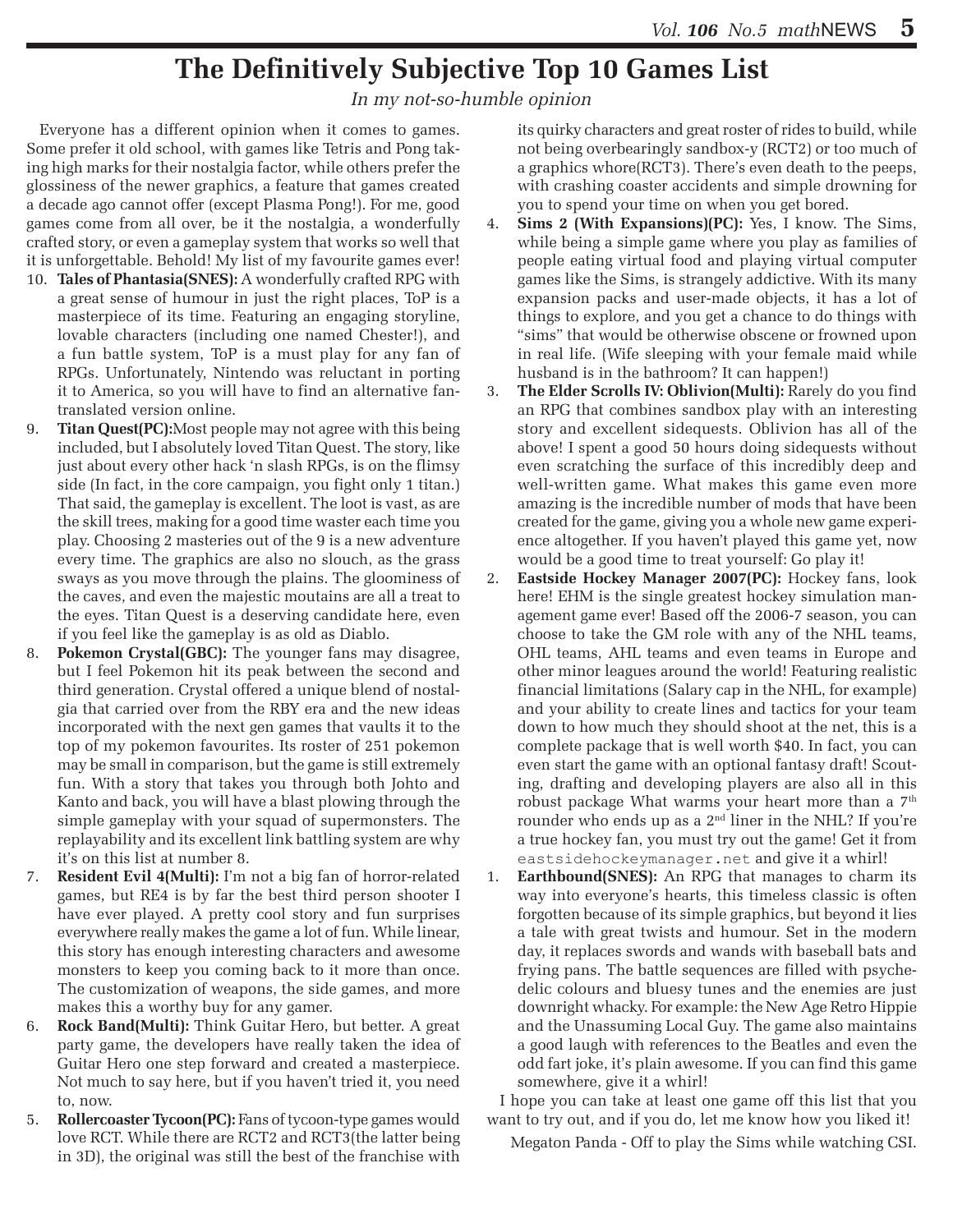### **The Definitively Subjective Top 10 Games List**

#### *In my not-so-humble opinion*

Everyone has a different opinion when it comes to games. Some prefer it old school, with games like Tetris and Pong taking high marks for their nostalgia factor, while others prefer the glossiness of the newer graphics, a feature that games created a decade ago cannot offer (except Plasma Pong!). For me, good games come from all over, be it the nostalgia, a wonderfully crafted story, or even a gameplay system that works so well that it is unforgettable. Behold! My list of my favourite games ever!

- 10. **Tales of Phantasia(SNES):** A wonderfully crafted RPG with a great sense of humour in just the right places, ToP is a masterpiece of its time. Featuring an engaging storyline, lovable characters (including one named Chester!), and a fun battle system, ToP is a must play for any fan of RPGs. Unfortunately, Nintendo was reluctant in porting it to America, so you will have to find an alternative fantranslated version online.
- 9. **Titan Quest(PC):**Most people may not agree with this being included, but I absolutely loved Titan Quest. The story, like just about every other hack 'n slash RPGs, is on the flimsy side (In fact, in the core campaign, you fight only 1 titan.) That said, the gameplay is excellent. The loot is vast, as are the skill trees, making for a good time waster each time you play. Choosing 2 masteries out of the 9 is a new adventure every time. The graphics are also no slouch, as the grass sways as you move through the plains. The gloominess of the caves, and even the majestic moutains are all a treat to the eyes. Titan Quest is a deserving candidate here, even if you feel like the gameplay is as old as Diablo.
- **Pokemon Crystal(GBC):** The younger fans may disagree, but I feel Pokemon hit its peak between the second and third generation. Crystal offered a unique blend of nostalgia that carried over from the RBY era and the new ideas incorporated with the next gen games that vaults it to the top of my pokemon favourites. Its roster of 251 pokemon may be small in comparison, but the game is still extremely fun. With a story that takes you through both Johto and Kanto and back, you will have a blast plowing through the simple gameplay with your squad of supermonsters. The replayability and its excellent link battling system are why it's on this list at number 8.
- 7. **Resident Evil 4(Multi):** I'm not a big fan of horror-related games, but RE4 is by far the best third person shooter I have ever played. A pretty cool story and fun surprises everywhere really makes the game a lot of fun. While linear, this story has enough interesting characters and awesome monsters to keep you coming back to it more than once. The customization of weapons, the side games, and more makes this a worthy buy for any gamer.
- 6. **Rock Band(Multi):** Think Guitar Hero, but better. A great party game, the developers have really taken the idea of Guitar Hero one step forward and created a masterpiece. Not much to say here, but if you haven't tried it, you need to, now.
- 5. **Rollercoaster Tycoon(PC):** Fans of tycoon-type games would love RCT. While there are RCT2 and RCT3(the latter being in 3D), the original was still the best of the franchise with

its quirky characters and great roster of rides to build, while not being overbearingly sandbox-y (RCT2) or too much of a graphics whore(RCT3). There's even death to the peeps, with crashing coaster accidents and simple drowning for you to spend your time on when you get bored.

- 4. **Sims 2 (With Expansions)(PC):** Yes, I know. The Sims, while being a simple game where you play as families of people eating virtual food and playing virtual computer games like the Sims, is strangely addictive. With its many expansion packs and user-made objects, it has a lot of things to explore, and you get a chance to do things with "sims" that would be otherwise obscene or frowned upon in real life. (Wife sleeping with your female maid while husband is in the bathroom? It can happen!)
- 3. **The Elder Scrolls IV: Oblivion(Multi):** Rarely do you find an RPG that combines sandbox play with an interesting story and excellent sidequests. Oblivion has all of the above! I spent a good 50 hours doing sidequests without even scratching the surface of this incredibly deep and well-written game. What makes this game even more amazing is the incredible number of mods that have been created for the game, giving you a whole new game experience altogether. If you haven't played this game yet, now would be a good time to treat yourself: Go play it!
- 2. **Eastside Hockey Manager 2007(PC):** Hockey fans, look here! EHM is the single greatest hockey simulation management game ever! Based off the 2006-7 season, you can choose to take the GM role with any of the NHL teams, OHL teams, AHL teams and even teams in Europe and other minor leagues around the world! Featuring realistic financial limitations (Salary cap in the NHL, for example) and your ability to create lines and tactics for your team down to how much they should shoot at the net, this is a complete package that is well worth \$40. In fact, you can even start the game with an optional fantasy draft! Scouting, drafting and developing players are also all in this robust package What warms your heart more than a  $7<sup>th</sup>$ rounder who ends up as a 2nd liner in the NHL? If you're a true hockey fan, you must try out the game! Get it from eastsidehockeymanager.net and give it a whirl!
- 1. **Earthbound(SNES):** An RPG that manages to charm its way into everyone's hearts, this timeless classic is often forgotten because of its simple graphics, but beyond it lies a tale with great twists and humour. Set in the modern day, it replaces swords and wands with baseball bats and frying pans. The battle sequences are filled with psychedelic colours and bluesy tunes and the enemies are just downright whacky. For example: the New Age Retro Hippie and the Unassuming Local Guy. The game also maintains a good laugh with references to the Beatles and even the odd fart joke, it's plain awesome. If you can find this game somewhere, give it a whirl!

I hope you can take at least one game off this list that you want to try out, and if you do, let me know how you liked it!

Megaton Panda - Off to play the Sims while watching CSI.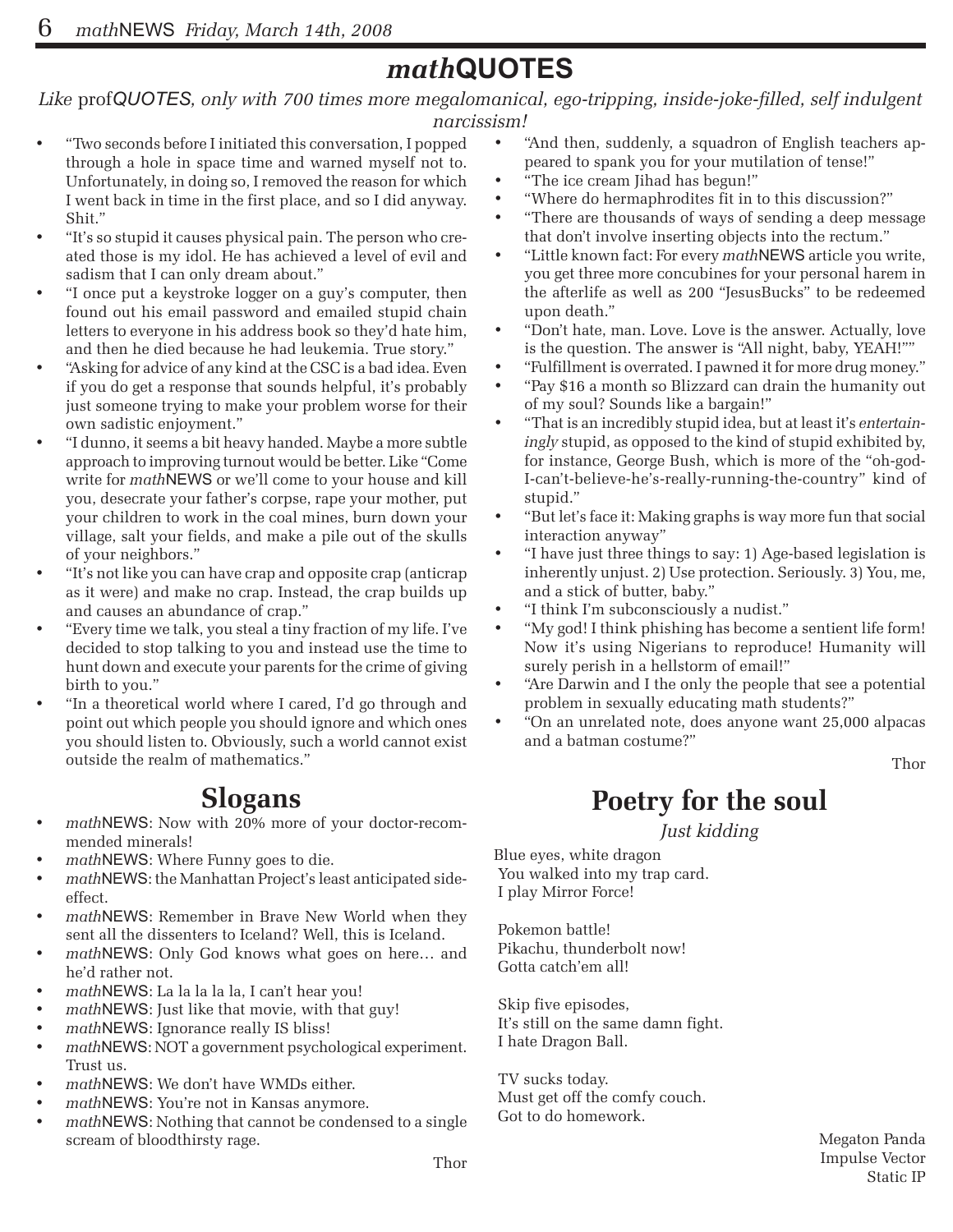### *math***QUOTES**

*Like* prof*QUOTES, only with 700 times more megalomanical, ego-tripping, inside-joke-filled, self indulgent narcissism!*

- "Two seconds before I initiated this conversation, I popped through a hole in space time and warned myself not to. Unfortunately, in doing so, I removed the reason for which I went back in time in the first place, and so I did anyway. Shit."
- "It's so stupid it causes physical pain. The person who created those is my idol. He has achieved a level of evil and sadism that I can only dream about."
- "I once put a keystroke logger on a guy's computer, then found out his email password and emailed stupid chain letters to everyone in his address book so they'd hate him, and then he died because he had leukemia. True story."
- "Asking for advice of any kind at the CSC is a bad idea. Even if you do get a response that sounds helpful, it's probably just someone trying to make your problem worse for their own sadistic enjoyment."
- • "I dunno, it seems a bit heavy handed. Maybe a more subtle approach to improving turnout would be better. Like "Come write for *math*NEWS or we'll come to your house and kill you, desecrate your father's corpse, rape your mother, put your children to work in the coal mines, burn down your village, salt your fields, and make a pile out of the skulls of your neighbors."
- "It's not like you can have crap and opposite crap (anticrap as it were) and make no crap. Instead, the crap builds up and causes an abundance of crap."
- "Every time we talk, you steal a tiny fraction of my life. I've decided to stop talking to you and instead use the time to hunt down and execute your parents for the crime of giving birth to you."
- "In a theoretical world where I cared, I'd go through and point out which people you should ignore and which ones you should listen to. Obviously, such a world cannot exist outside the realm of mathematics."

### **Slogans**

- mathNEWS: Now with 20% more of your doctor-recommended minerals!
- math**NEWS**: Where Funny goes to die.
- mathNEWS: the Manhattan Project's least anticipated sideeffect.
- mathNEWS: Remember in Brave New World when they sent all the dissenters to Iceland? Well, this is Iceland.
- mathNEWS: Only God knows what goes on here... and he'd rather not.
- mathNEWS: La la la la la, I can't hear you!
- mathNEWS: Just like that movie, with that guy!
- mathNEWS: Ignorance really IS bliss!
- math**NEWS**: NOT a government psychological experiment. Trust us.
- math**NEWS**: We don't have WMDs either.
- mathNEWS: You're not in Kansas anymore.
- mathNEWS: Nothing that cannot be condensed to a single scream of bloodthirsty rage.
- "And then, suddenly, a squadron of English teachers appeared to spank you for your mutilation of tense!"
- "The ice cream Jihad has begun!"
- • "Where do hermaphrodites fit in to this discussion?"
- "There are thousands of ways of sending a deep message that don't involve inserting objects into the rectum."
- "Little known fact: For every *math*NEWS article you write, you get three more concubines for your personal harem in the afterlife as well as 200 "JesusBucks" to be redeemed upon death."
- "Don't hate, man. Love. Love is the answer. Actually, love is the question. The answer is "All night, baby, YEAH!""
- "Fulfillment is overrated. I pawned it for more drug money."
- "Pay \$16 a month so Blizzard can drain the humanity out of my soul? Sounds like a bargain!"
- "That is an incredibly stupid idea, but at least it's *entertainingly* stupid, as opposed to the kind of stupid exhibited by, for instance, George Bush, which is more of the "oh-god-I-can't-believe-he's-really-running-the-country" kind of stupid."
- "But let's face it: Making graphs is way more fun that social interaction anyway"
- "I have just three things to say: 1) Age-based legislation is inherently unjust. 2) Use protection. Seriously. 3) You, me, and a stick of butter, baby."
- • "I think I'm subconsciously a nudist."
- "My god! I think phishing has become a sentient life form! Now it's using Nigerians to reproduce! Humanity will surely perish in a hellstorm of email!"
- "Are Darwin and I the only the people that see a potential problem in sexually educating math students?"
- • "On an unrelated note, does anyone want 25,000 alpacas and a batman costume?"

Thor

### **Poetry for the soul**

*Just kidding*

Blue eyes, white dragon You walked into my trap card. I play Mirror Force!

 Pokemon battle! Pikachu, thunderbolt now! Gotta catch'em all!

 Skip five episodes, It's still on the same damn fight. I hate Dragon Ball.

 TV sucks today. Must get off the comfy couch. Got to do homework.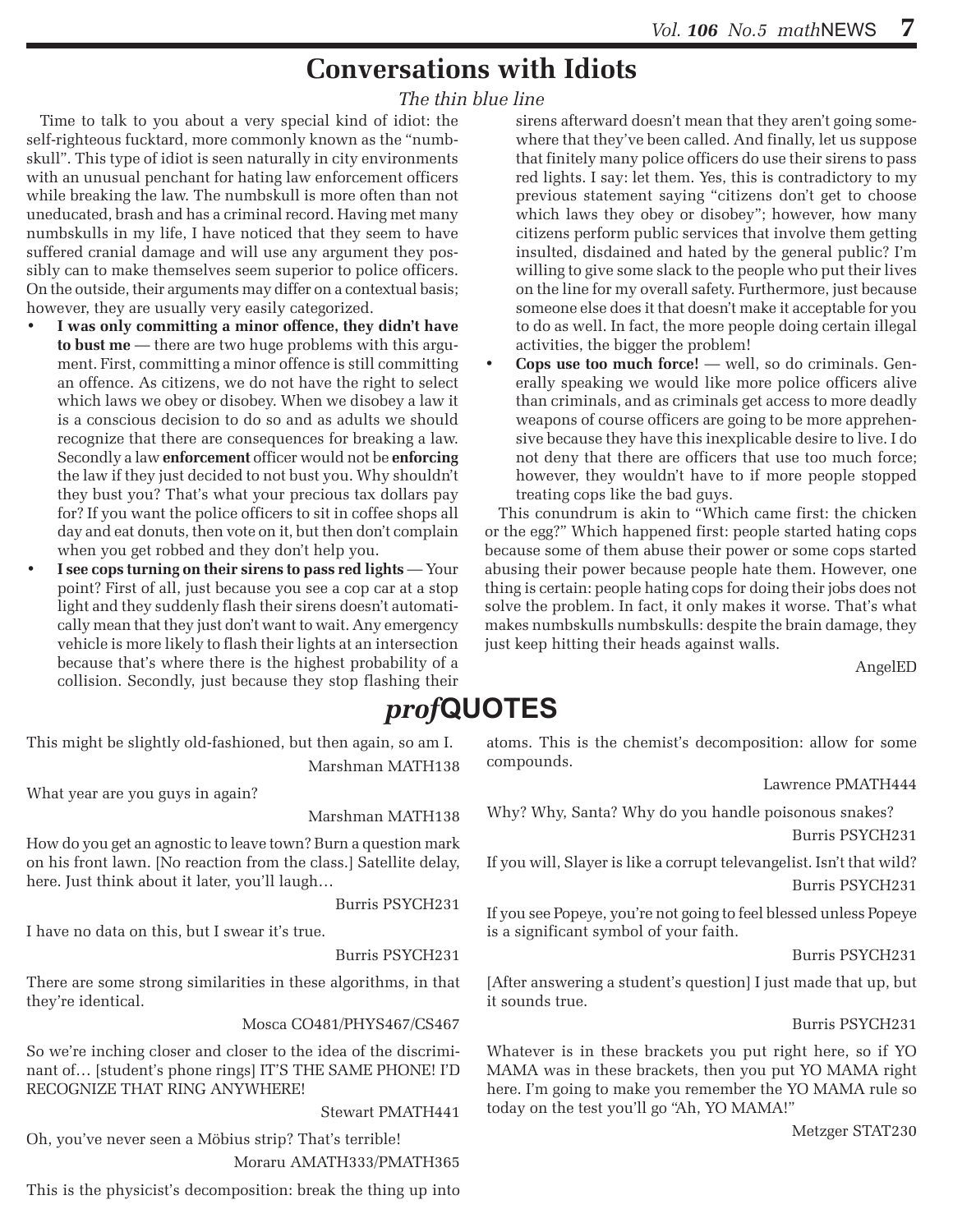### **Conversations with Idiots**

#### *The thin blue line*

Time to talk to you about a very special kind of idiot: the self-righteous fucktard, more commonly known as the "numbskull". This type of idiot is seen naturally in city environments with an unusual penchant for hating law enforcement officers while breaking the law. The numbskull is more often than not uneducated, brash and has a criminal record. Having met many numbskulls in my life, I have noticed that they seem to have suffered cranial damage and will use any argument they possibly can to make themselves seem superior to police officers. On the outside, their arguments may differ on a contextual basis; however, they are usually very easily categorized.

- I was only committing a minor offence, they didn't have **to bust me** — there are two huge problems with this argument. First, committing a minor offence is still committing an offence. As citizens, we do not have the right to select which laws we obey or disobey. When we disobey a law it is a conscious decision to do so and as adults we should recognize that there are consequences for breaking a law. Secondly a law **enforcement** officer would not be **enforcing** the law if they just decided to not bust you. Why shouldn't they bust you? That's what your precious tax dollars pay for? If you want the police officers to sit in coffee shops all day and eat donuts, then vote on it, but then don't complain when you get robbed and they don't help you.
- **I** see cops turning on their sirens to pass red lights Your point? First of all, just because you see a cop car at a stop light and they suddenly flash their sirens doesn't automatically mean that they just don't want to wait. Any emergency vehicle is more likely to flash their lights at an intersection because that's where there is the highest probability of a collision. Secondly, just because they stop flashing their

This might be slightly old-fashioned, but then again, so am I. Marshman MATH138

What year are you guys in again?

Marshman MATH138

How do you get an agnostic to leave town? Burn a question mark on his front lawn. [No reaction from the class.] Satellite delay, here. Just think about it later, you'll laugh…

Burris PSYCH231

I have no data on this, but I swear it's true.

Burris PSYCH231

There are some strong similarities in these algorithms, in that they're identical.

Mosca CO481/PHYS467/CS467

So we're inching closer and closer to the idea of the discriminant of… [student's phone rings] IT'S THE SAME PHONE! I'D RECOGNIZE THAT RING ANYWHERE!

Stewart PMATH441

Oh, you've never seen a Möbius strip? That's terrible! Moraru AMATH333/PMATH365

This is the physicist's decomposition: break the thing up into

sirens afterward doesn't mean that they aren't going somewhere that they've been called. And finally, let us suppose that finitely many police officers do use their sirens to pass red lights. I say: let them. Yes, this is contradictory to my previous statement saying "citizens don't get to choose which laws they obey or disobey"; however, how many citizens perform public services that involve them getting insulted, disdained and hated by the general public? I'm willing to give some slack to the people who put their lives on the line for my overall safety. Furthermore, just because someone else does it that doesn't make it acceptable for you to do as well. In fact, the more people doing certain illegal activities, the bigger the problem!

**Cops use too much force!** — well, so do criminals. Generally speaking we would like more police officers alive than criminals, and as criminals get access to more deadly weapons of course officers are going to be more apprehensive because they have this inexplicable desire to live. I do not deny that there are officers that use too much force; however, they wouldn't have to if more people stopped treating cops like the bad guys.

This conundrum is akin to "Which came first: the chicken or the egg?" Which happened first: people started hating cops because some of them abuse their power or some cops started abusing their power because people hate them. However, one thing is certain: people hating cops for doing their jobs does not solve the problem. In fact, it only makes it worse. That's what makes numbskulls numbskulls: despite the brain damage, they just keep hitting their heads against walls.

AngelED

### *prof***QUOTES**

atoms. This is the chemist's decomposition: allow for some compounds.

Lawrence PMATH444

Why? Why, Santa? Why do you handle poisonous snakes? Burris PSYCH231

If you will, Slayer is like a corrupt televangelist. Isn't that wild? Burris PSYCH231

If you see Popeye, you're not going to feel blessed unless Popeye is a significant symbol of your faith.

Burris PSYCH231

[After answering a student's question] I just made that up, but it sounds true.

#### Burris PSYCH231

Whatever is in these brackets you put right here, so if YO MAMA was in these brackets, then you put YO MAMA right here. I'm going to make you remember the YO MAMA rule so today on the test you'll go "Ah, YO MAMA!"

Metzger STAT230